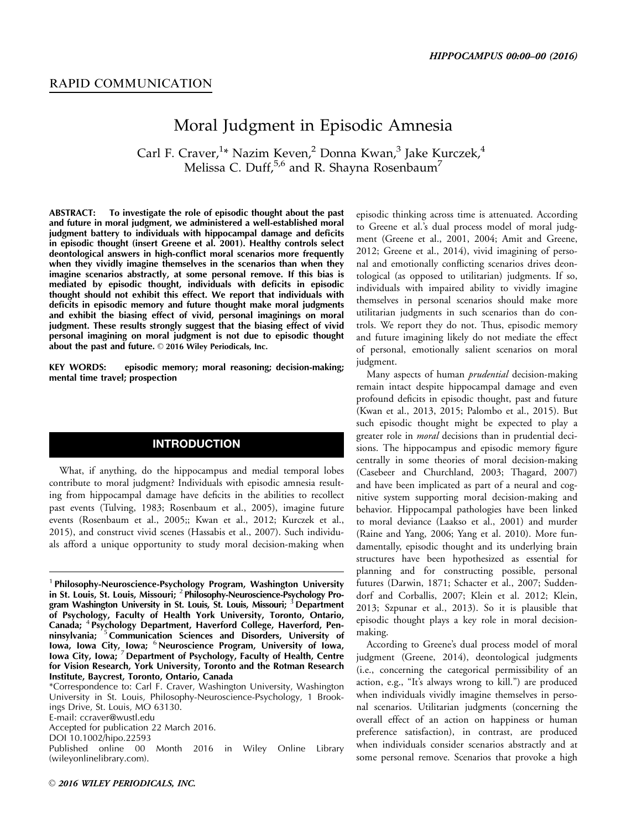## Moral Judgment in Episodic Amnesia

Carl F. Craver,<sup>1</sup>\* Nazim Keven,<sup>2</sup> Donna Kwan,<sup>3</sup> Jake Kurczek,<sup>4</sup> Melissa C. Duff,<sup>5,6</sup> and R. Shayna Rosenbaum<sup>7</sup>

ABSTRACT: To investigate the role of episodic thought about the past and future in moral judgment, we administered a well-established moral judgment battery to individuals with hippocampal damage and deficits in episodic thought (insert Greene et al. 2001). Healthy controls select deontological answers in high-conflict moral scenarios more frequently when they vividly imagine themselves in the scenarios than when they imagine scenarios abstractly, at some personal remove. If this bias is mediated by episodic thought, individuals with deficits in episodic thought should not exhibit this effect. We report that individuals with deficits in episodic memory and future thought make moral judgments and exhibit the biasing effect of vivid, personal imaginings on moral judgment. These results strongly suggest that the biasing effect of vivid personal imagining on moral judgment is not due to episodic thought about the past and future.  $\odot$  2016 Wiley Periodicals, Inc.

KEY WORDS: episodic memory; moral reasoning; decision-making; mental time travel; prospection

## INTRODUCTION

What, if anything, do the hippocampus and medial temporal lobes contribute to moral judgment? Individuals with episodic amnesia resulting from hippocampal damage have deficits in the abilities to recollect past events (Tulving, 1983; Rosenbaum et al., 2005), imagine future events (Rosenbaum et al., 2005;; Kwan et al., 2012; Kurczek et al., 2015), and construct vivid scenes (Hassabis et al., 2007). Such individuals afford a unique opportunity to study moral decision-making when

\*Correspondence to: Carl F. Craver, Washington University, Washington University in St. Louis, Philosophy-Neuroscience-Psychology, 1 Brookings Drive, St. Louis, MO 63130.

E-mail: ccraver@wustl.edu

Accepted for publication 22 March 2016.

DOI 10.1002/hipo.22593

Published online 00 Month 2016 in Wiley Online Library (wileyonlinelibrary.com).

episodic thinking across time is attenuated. According to Greene et al.'s dual process model of moral judgment (Greene et al., 2001, 2004; Amit and Greene, 2012; Greene et al., 2014), vivid imagining of personal and emotionally conflicting scenarios drives deontological (as opposed to utilitarian) judgments. If so, individuals with impaired ability to vividly imagine themselves in personal scenarios should make more utilitarian judgments in such scenarios than do controls. We report they do not. Thus, episodic memory and future imagining likely do not mediate the effect of personal, emotionally salient scenarios on moral judgment.

Many aspects of human *prudential* decision-making remain intact despite hippocampal damage and even profound deficits in episodic thought, past and future (Kwan et al., 2013, 2015; Palombo et al., 2015). But such episodic thought might be expected to play a greater role in *moral* decisions than in prudential decisions. The hippocampus and episodic memory figure centrally in some theories of moral decision-making (Casebeer and Churchland, 2003; Thagard, 2007) and have been implicated as part of a neural and cognitive system supporting moral decision-making and behavior. Hippocampal pathologies have been linked to moral deviance (Laakso et al., 2001) and murder (Raine and Yang, 2006; Yang et al. 2010). More fundamentally, episodic thought and its underlying brain structures have been hypothesized as essential for planning and for constructing possible, personal futures (Darwin, 1871; Schacter et al., 2007; Suddendorf and Corballis, 2007; Klein et al. 2012; Klein, 2013; Szpunar et al., 2013). So it is plausible that episodic thought plays a key role in moral decisionmaking.

According to Greene's dual process model of moral judgment (Greene, 2014), deontological judgments (i.e., concerning the categorical permissibility of an action, e.g., "It's always wrong to kill.") are produced when individuals vividly imagine themselves in personal scenarios. Utilitarian judgments (concerning the overall effect of an action on happiness or human preference satisfaction), in contrast, are produced when individuals consider scenarios abstractly and at some personal remove. Scenarios that provoke a high

<sup>&</sup>lt;sup>1</sup> Philosophy-Neuroscience-Psychology Program, Washington University in St. Louis, St. Louis, Missouri; <sup>2</sup> Philosophy-Neuroscience-Psychology Program Washington University in St. Louis, St. Louis, Missouri; <sup>3</sup> Department of Psychology, Faculty of Health York University, Toronto, Ontario, Canada; <sup>4</sup> Psychology Department, Haverford College, Haverford, Penninsylvania; <sup>5</sup> Communication Sciences and Disorders, University of Iowa, Iowa City, Iowa; <sup>6</sup>Neuroscience Program, University of Iowa, Iowa City, Iowa; <sup>7</sup> Department of Psychology, Faculty of Health, Centre for Vision Research, York University, Toronto and the Rotman Research Institute, Baycrest, Toronto, Ontario, Canada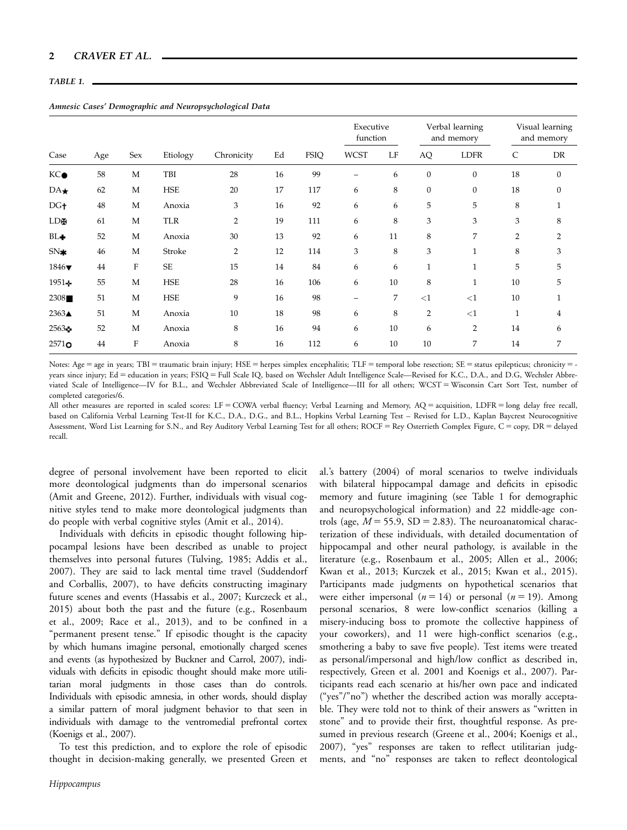## TABLE 1.

| Case                     | Age | Sex          | Etiology   | Chronicity     | Ed | FSIQ | Executive<br>function |    | Verbal learning<br>and memory |                  | Visual learning<br>and memory |                  |
|--------------------------|-----|--------------|------------|----------------|----|------|-----------------------|----|-------------------------------|------------------|-------------------------------|------------------|
|                          |     |              |            |                |    |      | <b>WCST</b>           | LF | $\rm{AQ}$                     | <b>LDFR</b>      | C                             | ${\rm DR}$       |
| KC●                      | 58  | M            | TBI        | 28             | 16 | 99   |                       | 6  | $\mathbf{0}$                  | $\boldsymbol{0}$ | 18                            | $\boldsymbol{0}$ |
| $DA\star$                | 62  | M            | <b>HSE</b> | 20             | 17 | 117  | 6                     | 8  | $\boldsymbol{0}$              | $\boldsymbol{0}$ | 18                            | $\mathbf{0}$     |
| DG <sub>†</sub>          | 48  | M            | Anoxia     | 3              | 16 | 92   | 6                     | 6  | 5                             | 5                | 8                             |                  |
| LD99                     | 61  | M            | <b>TLR</b> | $\overline{2}$ | 19 | 111  | 6                     | 8  | 3                             | 3                | 3                             | 8                |
| $BL +$                   | 52  | M            | Anoxia     | 30             | 13 | 92   | 6                     | 11 | 8                             | 7                | $\overline{2}$                | $\overline{2}$   |
| $SN*$                    | 46  | M            | Stroke     | $\overline{2}$ | 12 | 114  | 3                     | 8  | 3                             | $\mathbf{1}$     | 8                             | 3                |
| $1846\blacktriangledown$ | 44  | $\rm F$      | <b>SE</b>  | 15             | 14 | 84   | 6                     | 6  | $\mathbf{1}$                  | $\mathbf{1}$     | 5                             | 5                |
| $1951+$                  | 55  | M            | <b>HSE</b> | 28             | 16 | 106  | 6                     | 10 | 8                             | $\mathbf{1}$     | 10                            | 5                |
| 2308                     | 51  | M            | <b>HSE</b> | 9              | 16 | 98   |                       | 7  | <1                            | $<$ 1            | 10                            | 1                |
| $2363\blacktriangle$     | 51  | $\mathbf{M}$ | Anoxia     | 10             | 18 | 98   | 6                     | 8  | $\overline{2}$                | <1               | $\mathbf{1}$                  | 4                |
| 25634                    | 52  | M            | Anoxia     | 8              | 16 | 94   | 6                     | 10 | 6                             | $\overline{2}$   | 14                            | 6                |
| $2571$ o                 | 44  | F            | Anoxia     | 8              | 16 | 112  | 6                     | 10 | 10                            | 7                | 14                            | 7                |

Amnesic Cases' Demographic and Neuropsychological Data

Notes: Age = age in years; TBI = traumatic brain injury; HSE = herpes simplex encephalitis; TLF = temporal lobe resection; SE = status epilepticus; chronicity = years since injury; Ed = education in years; FSIQ = Full Scale IQ, based on Wechsler Adult Intelligence Scale—Revised for K.C., D.A., and D.G, Wechsler Abbreviated Scale of Intelligence—IV for B.L., and Wechsler Abbreviated Scale of Intelligence—III for all others; WCST 5Wisconsin Cart Sort Test, number of completed categories/6.

All other measures are reported in scaled scores: LF = COWA verbal fluency; Verbal Learning and Memory, AQ = acquisition, LDFR = long delay free recall, based on California Verbal Learning Test-II for K.C., D.A., D.G., and B.L., Hopkins Verbal Learning Test – Revised for L.D., Kaplan Baycrest Neurocognitive Assessment, Word List Learning for S.N., and Rey Auditory Verbal Learning Test for all others; ROCF = Rey Osterrieth Complex Figure, C = copy, DR = delayed recall.

degree of personal involvement have been reported to elicit more deontological judgments than do impersonal scenarios (Amit and Greene, 2012). Further, individuals with visual cognitive styles tend to make more deontological judgments than do people with verbal cognitive styles (Amit et al., 2014).

Individuals with deficits in episodic thought following hippocampal lesions have been described as unable to project themselves into personal futures (Tulving, 1985; Addis et al., 2007). They are said to lack mental time travel (Suddendorf and Corballis, 2007), to have deficits constructing imaginary future scenes and events (Hassabis et al., 2007; Kurczeck et al., 2015) about both the past and the future (e.g., Rosenbaum et al., 2009; Race et al., 2013), and to be confined in a "permanent present tense." If episodic thought is the capacity by which humans imagine personal, emotionally charged scenes and events (as hypothesized by Buckner and Carrol, 2007), individuals with deficits in episodic thought should make more utilitarian moral judgments in those cases than do controls. Individuals with episodic amnesia, in other words, should display a similar pattern of moral judgment behavior to that seen in individuals with damage to the ventromedial prefrontal cortex (Koenigs et al., 2007).

To test this prediction, and to explore the role of episodic thought in decision-making generally, we presented Green et al.'s battery (2004) of moral scenarios to twelve individuals with bilateral hippocampal damage and deficits in episodic memory and future imagining (see Table 1 for demographic and neuropsychological information) and 22 middle-age controls (age,  $M = 55.9$ , SD = 2.83). The neuroanatomical characterization of these individuals, with detailed documentation of hippocampal and other neural pathology, is available in the literature (e.g., Rosenbaum et al., 2005; Allen et al., 2006; Kwan et al., 2013; Kurczek et al., 2015; Kwan et al., 2015). Participants made judgments on hypothetical scenarios that were either impersonal ( $n = 14$ ) or personal ( $n = 19$ ). Among personal scenarios, 8 were low-conflict scenarios (killing a misery-inducing boss to promote the collective happiness of your coworkers), and 11 were high-conflict scenarios (e.g., smothering a baby to save five people). Test items were treated as personal/impersonal and high/low conflict as described in, respectively, Green et al. 2001 and Koenigs et al., 2007). Participants read each scenario at his/her own pace and indicated ("yes"/"no") whether the described action was morally acceptable. They were told not to think of their answers as "written in stone" and to provide their first, thoughtful response. As presumed in previous research (Greene et al., 2004; Koenigs et al., 2007), "yes" responses are taken to reflect utilitarian judgments, and "no" responses are taken to reflect deontological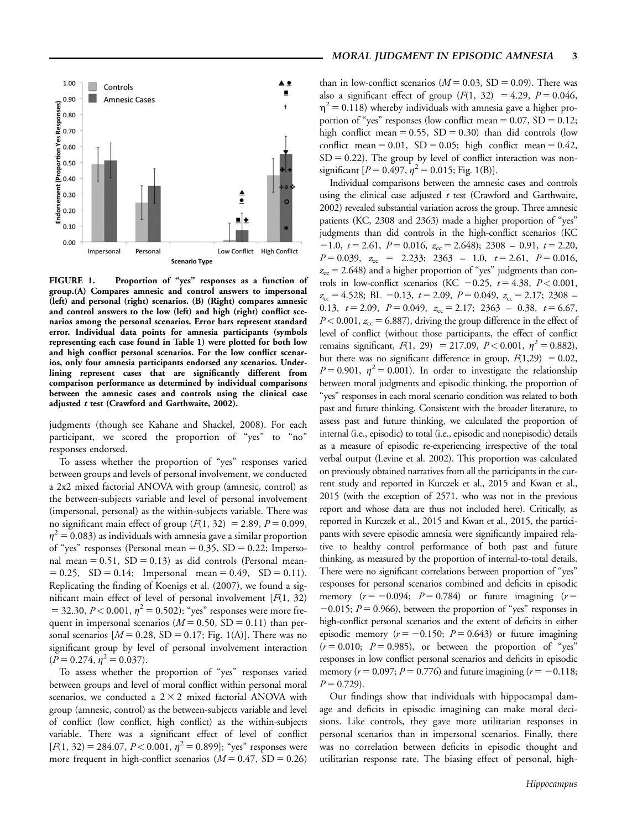

FIGURE 1. Proportion of "yes" responses as a function of group.(A) Compares amnesic and control answers to impersonal (left) and personal (right) scenarios. (B) (Right) compares amnesic and control answers to the low (left) and high (right) conflict scenarios among the personal scenarios. Error bars represent standard error. Individual data points for amnesia participants (symbols representing each case found in Table 1) were plotted for both low and high conflict personal scenarios. For the low conflict scenarios, only four amnesia participants endorsed any scenarios. Underlining represent cases that are significantly different from comparison performance as determined by individual comparisons between the amnesic cases and controls using the clinical case adjusted  $t$  test (Crawford and Garthwaite, 2002).

judgments (though see Kahane and Shackel, 2008). For each participant, we scored the proportion of "yes" to "no" responses endorsed.

To assess whether the proportion of "yes" responses varied between groups and levels of personal involvement, we conducted a 2x2 mixed factorial ANOVA with group (amnesic, control) as the between-subjects variable and level of personal involvement (impersonal, personal) as the within-subjects variable. There was no significant main effect of group  $(F(1, 32) = 2.89, P = 0.099,$  $\eta^2$  = 0.083) as individuals with amnesia gave a similar proportion of "yes" responses (Personal mean  $= 0.35$ , SD  $= 0.22$ ; Impersonal mean =  $0.51$ , SD =  $0.13$ ) as did controls (Personal mean- $= 0.25$ , SD  $= 0.14$ ; Impersonal mean  $= 0.49$ , SD  $= 0.11$ ). Replicating the finding of Koenigs et al. (2007), we found a significant main effect of level of personal involvement  $[F(1, 32)]$  $=$  32.30,  $P < 0.001$ ,  $\eta^2 = 0.502$ ): "yes" responses were more frequent in impersonal scenarios ( $M = 0.50$ , SD = 0.11) than personal scenarios  $[M = 0.28, SD = 0.17; Fig. 1(A)].$  There was no significant group by level of personal involvement interaction  $(P = 0.274, \eta^2 = 0.037).$ 

To assess whether the proportion of "yes" responses varied between groups and level of moral conflict within personal moral scenarios, we conducted a  $2 \times 2$  mixed factorial ANOVA with group (amnesic, control) as the between-subjects variable and level of conflict (low conflict, high conflict) as the within-subjects variable. There was a significant effect of level of conflict  $[F(1, 32) = 284.07, P < 0.001, \eta^2 = 0.899]$ ; "yes" responses were more frequent in high-conflict scenarios ( $M = 0.47$ , SD = 0.26)

than in low-conflict scenarios ( $M = 0.03$ , SD = 0.09). There was also a significant effect of group  $(F(1, 32) = 4.29, P = 0.046,$  $\eta^2$  = 0.118) whereby individuals with amnesia gave a higher proportion of "yes" responses (low conflict mean  $= 0.07$ , SD  $= 0.12$ ; high conflict mean =  $0.55$ , SD =  $0.30$ ) than did controls (low conflict mean =  $0.01$ , SD =  $0.05$ ; high conflict mean =  $0.42$ ,  $SD = 0.22$ ). The group by level of conflict interaction was nonsignificant  $[P = 0.497, \eta^2 = 0.015;$  Fig. 1(B)].

Individual comparisons between the amnesic cases and controls using the clinical case adjusted  $t$  test (Crawford and Garthwaite, 2002) revealed substantial variation across the group. Three amnesic patients (KC, 2308 and 2363) made a higher proportion of "yes" judgments than did controls in the high-conflict scenarios (KC  $-1.0, t = 2.61, P = 0.016, z_{cc} = 2.648$ ; 2308 – 0.91,  $t = 2.20$ ,  $P = 0.039$ ,  $z_{cc} = 2.233$ ; 2363 – 1.0,  $t = 2.61$ ,  $P = 0.016$ ,  $z_{\rm cc}$  = 2.648) and a higher proportion of "yes" judgments than controls in low-conflict scenarios (KC  $-0.25$ ,  $t = 4.38$ ,  $P < 0.001$ ,  $z_{\rm cc} = 4.528$ ; BL  $-0.13$ ,  $t = 2.09$ ,  $P = 0.049$ ,  $z_{\rm cc} = 2.17$ ; 2308 – 0.13,  $t = 2.09$ ,  $P = 0.049$ ,  $z_{cc} = 2.17$ ; 2363 – 0.38,  $t = 6.67$ ,  $P < 0.001$ ,  $z_{\text{cc}} = 6.887$ , driving the group difference in the effect of level of conflict (without those participants, the effect of conflict remains significant,  $F(1, 29) = 217.09$ ,  $P < 0.001$ ,  $\eta^2 = 0.882$ ), but there was no significant difference in group,  $F(1,29) = 0.02$ ,  $P = 0.901$ ,  $\eta^2 = 0.001$ ). In order to investigate the relationship between moral judgments and episodic thinking, the proportion of "yes" responses in each moral scenario condition was related to both past and future thinking. Consistent with the broader literature, to assess past and future thinking, we calculated the proportion of internal (i.e., episodic) to total (i.e., episodic and nonepisodic) details as a measure of episodic re-experiencing irrespective of the total verbal output (Levine et al. 2002). This proportion was calculated on previously obtained narratives from all the participants in the current study and reported in Kurczek et al., 2015 and Kwan et al., 2015 (with the exception of 2571, who was not in the previous report and whose data are thus not included here). Critically, as reported in Kurczek et al., 2015 and Kwan et al., 2015, the participants with severe episodic amnesia were significantly impaired relative to healthy control performance of both past and future thinking, as measured by the proportion of internal-to-total details. There were no significant correlations between proportion of "yes" responses for personal scenarios combined and deficits in episodic memory  $(r = -0.094; P = 0.784)$  or future imagining  $(r =$  $-0.015$ ;  $P = 0.966$ ), between the proportion of "yes" responses in high-conflict personal scenarios and the extent of deficits in either episodic memory ( $r = -0.150$ ;  $P = 0.643$ ) or future imagining  $(r = 0.010; P = 0.985)$ , or between the proportion of "yes" responses in low conflict personal scenarios and deficits in episodic memory ( $r = 0.097$ ;  $P = 0.776$ ) and future imagining ( $r = -0.118$ ;  $P = 0.729$ .

Our findings show that individuals with hippocampal damage and deficits in episodic imagining can make moral decisions. Like controls, they gave more utilitarian responses in personal scenarios than in impersonal scenarios. Finally, there was no correlation between deficits in episodic thought and utilitarian response rate. The biasing effect of personal, high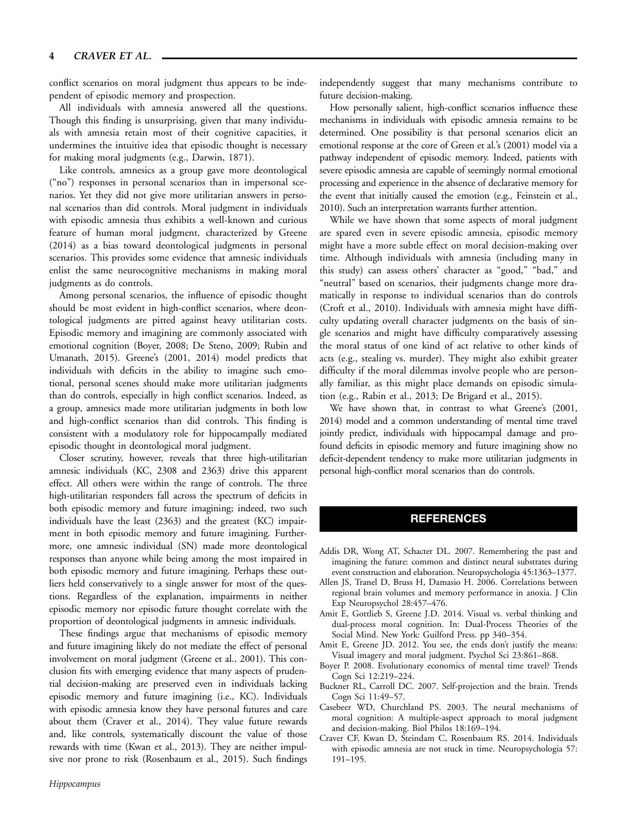conflict scenarios on moral judgment thus appears to be independent of episodic memory and prospection.

All individuals with amnesia answered all the questions. Though this finding is unsurprising, given that many individuals with amnesia retain most of their cognitive capacities, it undermines the intuitive idea that episodic thought is necessary for making moral judgments (e.g., Darwin, 1871).

Like controls, amnesics as a group gave more deontological ("no") responses in personal scenarios than in impersonal scenarios. Yet they did not give more utilitarian answers in personal scenarios than did controls. Moral judgment in individuals with episodic amnesia thus exhibits a well-known and curious feature of human moral judgment, characterized by Greene (2014) as a bias toward deontological judgments in personal scenarios. This provides some evidence that amnesic individuals enlist the same neurocognitive mechanisms in making moral judgments as do controls.

Among personal scenarios, the influence of episodic thought should be most evident in high-conflict scenarios, where deontological judgments are pitted against heavy utilitarian costs. Episodic memory and imagining are commonly associated with emotional cognition (Boyer, 2008; De Steno, 2009; Rubin and Umanath, 2015). Greene's (2001, 2014) model predicts that individuals with deficits in the ability to imagine such emotional, personal scenes should make more utilitarian judgments than do controls, especially in high conflict scenarios. Indeed, as a group, amnesics made more utilitarian judgments in both low and high-conflict scenarios than did controls. This finding is consistent with a modulatory role for hippocampally mediated episodic thought in deontological moral judgment.

Closer scrutiny, however, reveals that three high-utilitarian amnesic individuals (KC, 2308 and 2363) drive this apparent effect. All others were within the range of controls. The three high-utilitarian responders fall across the spectrum of deficits in both episodic memory and future imagining; indeed, two such individuals have the least (2363) and the greatest (KC) impairment in both episodic memory and future imagining. Furthermore, one amnesic individual (SN) made more deontological responses than anyone while being among the most impaired in both episodic memory and future imagining. Perhaps these outliers held conservatively to a single answer for most of the questions. Regardless of the explanation, impairments in neither episodic memory nor episodic future thought correlate with the proportion of deontological judgments in amnesic individuals.

These findings argue that mechanisms of episodic memory and future imagining likely do not mediate the effect of personal involvement on moral judgment (Greene et al., 2001). This conclusion fits with emerging evidence that many aspects of prudential decision-making are preserved even in individuals lacking episodic memory and future imagining (i.e., KC). Individuals with episodic amnesia know they have personal futures and care about them (Craver et al., 2014). They value future rewards and, like controls, systematically discount the value of those rewards with time (Kwan et al., 2013). They are neither impulsive nor prone to risk (Rosenbaum et al., 2015). Such findings independently suggest that many mechanisms contribute to future decision-making.

How personally salient, high-conflict scenarios influence these mechanisms in individuals with episodic amnesia remains to be determined. One possibility is that personal scenarios elicit an emotional response at the core of Green et al.'s (2001) model via a pathway independent of episodic memory. Indeed, patients with severe episodic amnesia are capable of seemingly normal emotional processing and experience in the absence of declarative memory for the event that initially caused the emotion (e.g., Feinstein et al., 2010). Such an interpretation warrants further attention.

While we have shown that some aspects of moral judgment are spared even in severe episodic amnesia, episodic memory might have a more subtle effect on moral decision-making over time. Although individuals with amnesia (including many in this study) can assess others' character as "good," "bad," and "neutral" based on scenarios, their judgments change more dramatically in response to individual scenarios than do controls (Croft et al., 2010). Individuals with amnesia might have difficulty updating overall character judgments on the basis of single scenarios and might have difficulty comparatively assessing the moral status of one kind of act relative to other kinds of acts (e.g., stealing vs. murder). They might also exhibit greater difficulty if the moral dilemmas involve people who are personally familiar, as this might place demands on episodic simulation (e.g., Rabin et al., 2013; De Brigard et al., 2015).

We have shown that, in contrast to what Greene's (2001, 2014) model and a common understanding of mental time travel jointly predict, individuals with hippocampal damage and profound deficits in episodic memory and future imagining show no deficit-dependent tendency to make more utilitarian judgments in personal high-conflict moral scenarios than do controls.

## **REFERENCES**

- Addis DR, Wong AT, Schacter DL. 2007. Remembering the past and imagining the future: common and distinct neural substrates during event construction and elaboration. Neuropsychologia 45:1363–1377.
- Allen JS, Tranel D, Bruss H, Damasio H. 2006. Correlations between regional brain volumes and memory performance in anoxia. J Clin Exp Neuropsychol 28:457–476.
- Amit E, Gottlieb S, Greene J.D. 2014. Visual vs. verbal thinking and dual-process moral cognition. In: Dual-Process Theories of the Social Mind. New York: Guilford Press. pp 340–354.
- Amit E, Greene JD. 2012. You see, the ends don't justify the means: Visual imagery and moral judgment. Psychol Sci 23:861–868.
- Boyer P. 2008. Evolutionary economics of mental time travel? Trends Cogn Sci 12:219–224.
- Buckner RL, Carroll DC. 2007. Self-projection and the brain. Trends Cogn Sci 11:49–57.
- Casebeer WD, Churchland PS. 2003. The neural mechanisms of moral cognition: A multiple-aspect approach to moral judgment and decision-making. Biol Philos 18:169–194.
- Craver CF, Kwan D, Steindam C, Rosenbaum RS. 2014. Individuals with episodic amnesia are not stuck in time. Neuropsychologia 57: 191–195.